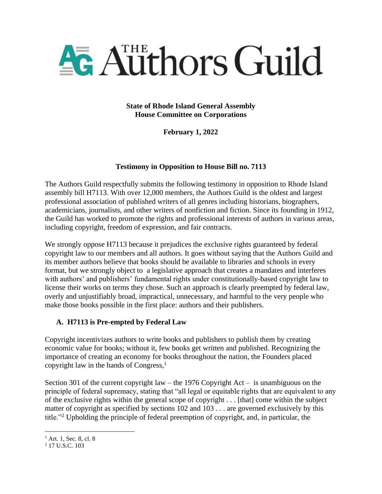

**State of Rhode Island General Assembly House Committee on Corporations**

**February 1, 2022**

### **Testimony in Opposition to House Bill no. 7113**

The Authors Guild respectfully submits the following testimony in opposition to Rhode Island assembly bill H7113. With over 12,000 members, the Authors Guild is the oldest and largest professional association of published writers of all genres including historians, biographers, academicians, journalists, and other writers of nonfiction and fiction. Since its founding in 1912, the Guild has worked to promote the rights and professional interests of authors in various areas, including copyright, freedom of expression, and fair contracts.

We strongly oppose H7113 because it prejudices the exclusive rights guaranteed by federal copyright law to our members and all authors. It goes without saying that the Authors Guild and its member authors believe that books should be available to libraries and schools in every format, but we strongly object to a legislative approach that creates a mandates and interferes with authors' and publishers' fundamental rights under constitutionally-based copyright law to license their works on terms they chose. Such an approach is clearly preempted by federal law, overly and unjustifiably broad, impractical, unnecessary, and harmful to the very people who make those books possible in the first place: authors and their publishers.

### **A. H7113 is Pre-empted by Federal Law**

Copyright incentivizes authors to write books and publishers to publish them by creating economic value for books; without it, few books get written and published. Recognizing the importance of creating an economy for books throughout the nation, the Founders placed copyright law in the hands of Congress, $<sup>1</sup>$ </sup>

Section 301 of the current copyright law – the 1976 Copyright Act – is unambiguous on the principle of federal supremacy, stating that "all legal or equitable rights that are equivalent to any of the exclusive rights within the general scope of copyright . . . [that] come within the subject matter of copyright as specified by sections 102 and 103 . . . are governed exclusively by this title."<sup>2</sup> Upholding the principle of federal preemption of copyright, and, in particular, the

<sup>&</sup>lt;sup>1</sup> Art. 1, Sec. 8, cl. 8

<sup>&</sup>lt;sup>2</sup> 17 U.S.C. 103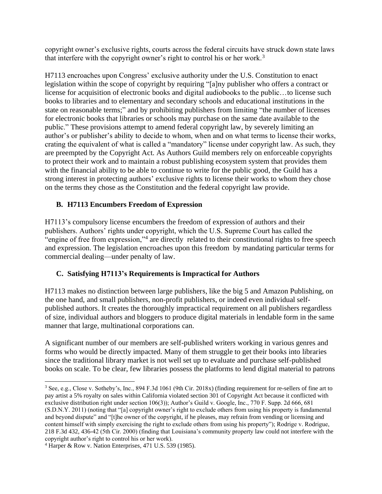copyright owner's exclusive rights, courts across the federal circuits have struck down state laws that interfere with the copyright owner's right to control his or her work.<sup>3</sup>

H7113 encroaches upon Congress' exclusive authority under the U.S. Constitution to enact legislation within the scope of copyright by requiring "[a]ny publisher who offers a contract or license for acquisition of electronic books and digital audiobooks to the public…to license such books to libraries and to elementary and secondary schools and educational institutions in the state on reasonable terms;" and by prohibiting publishers from limiting "the number of licenses for electronic books that libraries or schools may purchase on the same date available to the public." These provisions attempt to amend federal copyright law, by severely limiting an author's or publisher's ability to decide to whom, when and on what terms to license their works, crating the equivalent of what is called a "mandatory" license under copyright law. As such, they are preempted by the Copyright Act. As Authors Guild members rely on enforceable copyrights to protect their work and to maintain a robust publishing ecosystem system that provides them with the financial ability to be able to continue to write for the public good, the Guild has a strong interest in protecting authors' exclusive rights to license their works to whom they chose on the terms they chose as the Constitution and the federal copyright law provide.

### **B. H7113 Encumbers Freedom of Expression**

H7113's compulsory license encumbers the freedom of expression of authors and their publishers. Authors' rights under copyright, which the U.S. Supreme Court has called the "engine of free from expression,"<sup>4</sup> are directly related to their constitutional rights to free speech and expression. The legislation encroaches upon this freedom by mandating particular terms for commercial dealing—under penalty of law.

# **C. Satisfying H7113's Requirements is Impractical for Authors**

H7113 makes no distinction between large publishers, like the big 5 and Amazon Publishing, on the one hand, and small publishers, non-profit publishers, or indeed even individual selfpublished authors. It creates the thoroughly impractical requirement on all publishers regardless of size, individual authors and bloggers to produce digital materials in lendable form in the same manner that large, multinational corporations can.

A significant number of our members are self-published writers working in various genres and forms who would be directly impacted. Many of them struggle to get their books into libraries since the traditional library market is not well set up to evaluate and purchase self-published books on scale. To be clear, few libraries possess the platforms to lend digital material to patrons

<sup>3</sup> See, e.g., Close v. Sotheby's, Inc., 894 F.3d 1061 (9th Cir. 2018x) (finding requirement for re-sellers of fine art to pay artist a 5% royalty on sales within California violated section 301 of Copyright Act because it conflicted with exclusive distribution right under section 106(3)); Author's Guild v. Google, Inc., 770 F. Supp. 2d 666, 681 (S.D.N.Y. 2011) (noting that "[a] copyright owner's right to exclude others from using his property is fundamental and beyond dispute" and "[t]he owner of the copyright, if he pleases, may refrain from vending or licensing and content himself with simply exercising the right to exclude others from using his property"); Rodrige v. Rodrigue, 218 F.3d 432, 436-42 (5th Cir. 2000) (finding that Louisiana's community property law could not interfere with the copyright author's right to control his or her work).

<sup>4</sup> Harper & Row v. Nation Enterprises, 471 U.S. 539 (1985).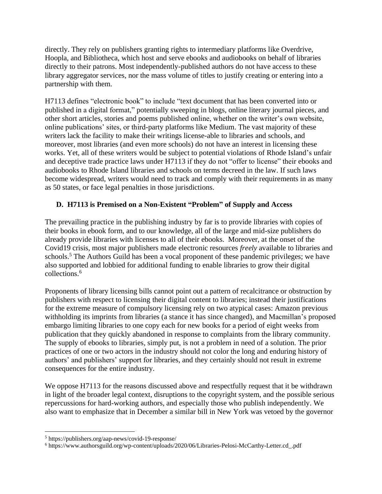directly. They rely on publishers granting rights to intermediary platforms like Overdrive, Hoopla, and Bibliotheca, which host and serve ebooks and audiobooks on behalf of libraries directly to their patrons. Most independently-published authors do not have access to these library aggregator services, nor the mass volume of titles to justify creating or entering into a partnership with them.

H7113 defines "electronic book" to include "text document that has been converted into or published in a digital format," potentially sweeping in blogs, online literary journal pieces, and other short articles, stories and poems published online, whether on the writer's own website, online publications' sites, or third-party platforms like Medium. The vast majority of these writers lack the facility to make their writings license-able to libraries and schools, and moreover, most libraries (and even more schools) do not have an interest in licensing these works. Yet, all of these writers would be subject to potential violations of Rhode Island's unfair and deceptive trade practice laws under H7113 if they do not "offer to license" their ebooks and audiobooks to Rhode Island libraries and schools on terms decreed in the law. If such laws become widespread, writers would need to track and comply with their requirements in as many as 50 states, or face legal penalties in those jurisdictions.

## **D. H7113 is Premised on a Non-Existent "Problem" of Supply and Access**

The prevailing practice in the publishing industry by far is to provide libraries with copies of their books in ebook form, and to our knowledge, all of the large and mid-size publishers do already provide libraries with licenses to all of their ebooks. Moreover, at the onset of the Covid19 crisis, most major publishers made electronic resources *freely* available to libraries and schools.<sup>5</sup> The Authors Guild has been a vocal proponent of these pandemic privileges; we have also supported and lobbied for additional funding to enable libraries to grow their digital collections.<sup>6</sup>

Proponents of library licensing bills cannot point out a pattern of recalcitrance or obstruction by publishers with respect to licensing their digital content to libraries; instead their justifications for the extreme measure of compulsory licensing rely on two atypical cases: Amazon previous withholding its imprints from libraries (a stance it has since changed), and Macmillan's proposed embargo limiting libraries to one copy each for new books for a period of eight weeks from publication that they quickly abandoned in response to complaints from the library community. The supply of ebooks to libraries, simply put, is not a problem in need of a solution. The prior practices of one or two actors in the industry should not color the long and enduring history of authors' and publishers' support for libraries, and they certainly should not result in extreme consequences for the entire industry.

We oppose H7113 for the reasons discussed above and respectfully request that it be withdrawn in light of the broader legal context, disruptions to the copyright system, and the possible serious repercussions for hard-working authors, and especially those who publish independently. We also want to emphasize that in December a similar bill in New York was vetoed by the governor

<sup>5</sup> https://publishers.org/aap-news/covid-19-response/

<sup>6</sup> https://www.authorsguild.org/wp-content/uploads/2020/06/Libraries-Pelosi-McCarthy-Letter.cd\_.pdf